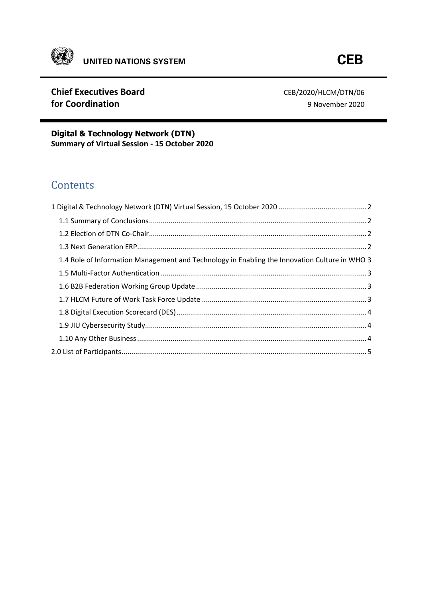

## **Chief Executives Board CEB/2020/HLCM/DTN/06 for Coordination** 9 November 2020

**Digital & Technology Network (DTN) Summary of Virtual Session - 15 October 2020**

# **Contents**

| 1.4 Role of Information Management and Technology in Enabling the Innovation Culture in WHO 3 |  |
|-----------------------------------------------------------------------------------------------|--|
|                                                                                               |  |
|                                                                                               |  |
|                                                                                               |  |
|                                                                                               |  |
|                                                                                               |  |
|                                                                                               |  |
|                                                                                               |  |
|                                                                                               |  |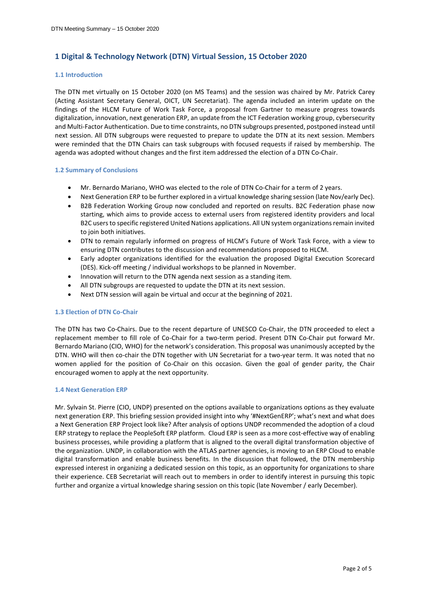## <span id="page-1-0"></span>**1 Digital & Technology Network (DTN) Virtual Session, 15 October 2020**

#### **1.1 Introduction**

The DTN met virtually on 15 October 2020 (on MS Teams) and the session was chaired by Mr. Patrick Carey (Acting Assistant Secretary General, OICT, UN Secretariat). The agenda included an interim update on the findings of the HLCM Future of Work Task Force, a proposal from Gartner to measure progress towards digitalization, innovation, next generation ERP, an update from the ICT Federation working group, cybersecurity and Multi-Factor Authentication. Due to time constraints, no DTN subgroups presented, postponed instead until next session. All DTN subgroups were requested to prepare to update the DTN at its next session. Members were reminded that the DTN Chairs can task subgroups with focused requests if raised by membership. The agenda was adopted without changes and the first item addressed the election of a DTN Co-Chair.

#### <span id="page-1-1"></span>**1.2 Summary of Conclusions**

- Mr. Bernardo Mariano, WHO was elected to the role of DTN Co-Chair for a term of 2 years.
- Next Generation ERP to be further explored in a virtual knowledge sharing session (late Nov/early Dec).
- B2B Federation Working Group now concluded and reported on results. B2C Federation phase now starting, which aims to provide access to external users from registered identity providers and local B2C users to specific registered United Nations applications. All UN system organizations remain invited to join both initiatives.
- DTN to remain regularly informed on progress of HLCM's Future of Work Task Force, with a view to ensuring DTN contributes to the discussion and recommendations proposed to HLCM.
- Early adopter organizations identified for the evaluation the proposed Digital Execution Scorecard (DES). Kick-off meeting / individual workshops to be planned in November.
- Innovation will return to the DTN agenda next session as a standing item.
- All DTN subgroups are requested to update the DTN at its next session.
- Next DTN session will again be virtual and occur at the beginning of 2021.

#### <span id="page-1-2"></span>**1.3 Election of DTN Co-Chair**

The DTN has two Co-Chairs. Due to the recent departure of UNESCO Co-Chair, the DTN proceeded to elect a replacement member to fill role of Co-Chair for a two-term period. Present DTN Co-Chair put forward Mr. Bernardo Mariano (CIO, WHO) for the network's consideration. This proposal was unanimously accepted by the DTN. WHO will then co-chair the DTN together with UN Secretariat for a two-year term. It was noted that no women applied for the position of Co-Chair on this occasion. Given the goal of gender parity, the Chair encouraged women to apply at the next opportunity.

#### <span id="page-1-3"></span>**1.4 Next Generation ERP**

Mr. Sylvain St. Pierre (CIO, UNDP) presented on the options available to organizations options as they evaluate next generation ERP. This briefing session provided insight into why '#NextGenERP'; what's next and what does a Next Generation ERP Project look like? After analysis of options UNDP recommended the adoption of a cloud ERP strategy to replace the PeopleSoft ERP platform. Cloud ERP is seen as a more cost-effective way of enabling business processes, while providing a platform that is aligned to the overall digital transformation objective of the organization. UNDP, in collaboration with the ATLAS partner agencies, is moving to an ERP Cloud to enable digital transformation and enable business benefits. In the discussion that followed, the DTN membership expressed interest in organizing a dedicated session on this topic, as an opportunity for organizations to share their experience. CEB Secretariat will reach out to members in order to identify interest in pursuing this topic further and organize a virtual knowledge sharing session on this topic (late November / early December).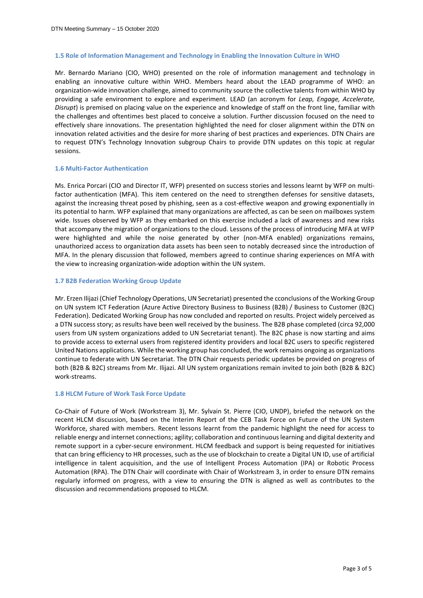#### <span id="page-2-0"></span>**1.5 Role of Information Management and Technology in Enabling the Innovation Culture in WHO**

Mr. Bernardo Mariano (CIO, WHO) presented on the role of information management and technology in enabling an innovative culture within WHO. Members heard about the LEAD programme of WHO: an organization-wide innovation challenge, aimed to community source the collective talents from within WHO by providing a safe environment to explore and experiment. LEAD (an acronym for *Leap, Engage, Accelerate, Disrupt*) is premised on placing value on the experience and knowledge of staff on the front line, familiar with the challenges and oftentimes best placed to conceive a solution. Further discussion focused on the need to effectively share innovations. The presentation highlighted the need for closer alignment within the DTN on innovation related activities and the desire for more sharing of best practices and experiences. DTN Chairs are to request DTN's Technology Innovation subgroup Chairs to provide DTN updates on this topic at regular sessions.

#### <span id="page-2-1"></span>**1.6 Multi-Factor Authentication**

Ms. Enrica Porcari (CIO and Director IT, WFP) presented on success stories and lessons learnt by WFP on multifactor authentication (MFA). This item centered on the need to strengthen defenses for sensitive datasets, against the increasing threat posed by phishing, seen as a cost-effective weapon and growing exponentially in its potential to harm. WFP explained that many organizations are affected, as can be seen on mailboxes system wide. Issues observed by WFP as they embarked on this exercise included a lack of awareness and new risks that accompany the migration of organizations to the cloud. Lessons of the process of introducing MFA at WFP were highlighted and while the noise generated by other (non-MFA enabled) organizations remains, unauthorized access to organization data assets has been seen to notably decreased since the introduction of MFA. In the plenary discussion that followed, members agreed to continue sharing experiences on MFA with the view to increasing organization-wide adoption within the UN system.

#### <span id="page-2-2"></span>**1.7 B2B Federation Working Group Update**

Mr. Erzen Ilijazi (Chief Technology Operations, UN Secretariat) presented the cconclusions of the Working Group on UN system ICT Federation (Azure Active Directory Business to Business (B2B) / Business to Customer (B2C) Federation). Dedicated Working Group has now concluded and reported on results. Project widely perceived as a DTN success story; as results have been well received by the business. The B2B phase completed (circa 92,000 users from UN system organizations added to UN Secretariat tenant). The B2C phase is now starting and aims to provide access to external users from registered identity providers and local B2C users to specific registered United Nations applications. While the working group has concluded, the work remains ongoing as organizations continue to federate with UN Secretariat. The DTN Chair requests periodic updates be provided on progress of both (B2B & B2C) streams from Mr. Ilijazi. All UN system organizations remain invited to join both (B2B & B2C) work-streams.

#### <span id="page-2-3"></span>**1.8 HLCM Future of Work Task Force Update**

Co-Chair of Future of Work (Workstream 3), Mr. Sylvain St. Pierre (CIO, UNDP), briefed the network on the recent HLCM discussion, based on the Interim Report of the CEB Task Force on Future of the UN System Workforce, shared with members. Recent lessons learnt from the pandemic highlight the need for access to reliable energy and internet connections; agility; collaboration and continuous learning and digital dexterity and remote support in a cyber-secure environment. HLCM feedback and support is being requested for initiatives that can bring efficiency to HR processes, such as the use of blockchain to create a Digital UN ID, use of artificial intelligence in talent acquisition, and the use of Intelligent Process Automation (IPA) or Robotic Process Automation (RPA). The DTN Chair will coordinate with Chair of Workstream 3, in order to ensure DTN remains regularly informed on progress, with a view to ensuring the DTN is aligned as well as contributes to the discussion and recommendations proposed to HLCM.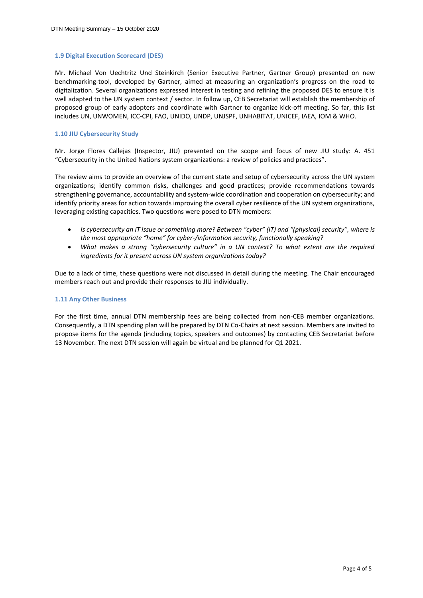#### <span id="page-3-0"></span>**1.9 Digital Execution Scorecard (DES)**

Mr. Michael Von Uechtritz Und Steinkirch (Senior Executive Partner, Gartner Group) presented on new benchmarking-tool, developed by Gartner, aimed at measuring an organization's progress on the road to digitalization. Several organizations expressed interest in testing and refining the proposed DES to ensure it is well adapted to the UN system context / sector. In follow up, CEB Secretariat will establish the membership of proposed group of early adopters and coordinate with Gartner to organize kick-off meeting. So far, this list includes UN, UNWOMEN, ICC-CPI, FAO, UNIDO, UNDP, UNJSPF, UNHABITAT, UNICEF, IAEA, IOM & WHO.

#### <span id="page-3-1"></span>**1.10 JIU Cybersecurity Study**

Mr. Jorge Flores Callejas (Inspector, JIU) presented on the scope and focus of new JIU study: A. 451 "Cybersecurity in the United Nations system organizations: a review of policies and practices".

The review aims to provide an overview of the current state and setup of cybersecurity across the UN system organizations; identify common risks, challenges and good practices; provide recommendations towards strengthening governance, accountability and system-wide coordination and cooperation on cybersecurity; and identify priority areas for action towards improving the overall cyber resilience of the UN system organizations, leveraging existing capacities. Two questions were posed to DTN members:

- *Is cybersecurity an IT issue or something more? Between "cyber" (IT) and "(physical) security", where is the most appropriate "home" for cyber-/information security, functionally speaking*?
- *What makes a strong "cybersecurity culture" in a UN context? To what extent are the required ingredients for it present across UN system organizations today?*

Due to a lack of time, these questions were not discussed in detail during the meeting. The Chair encouraged members reach out and provide their responses to JIU individually.

#### <span id="page-3-2"></span>**1.11 Any Other Business**

For the first time, annual DTN membership fees are being collected from non-CEB member organizations. Consequently, a DTN spending plan will be prepared by DTN Co-Chairs at next session. Members are invited to propose items for the agenda (including topics, speakers and outcomes) by contacting CEB Secretariat before 13 November. The next DTN session will again be virtual and be planned for Q1 2021.